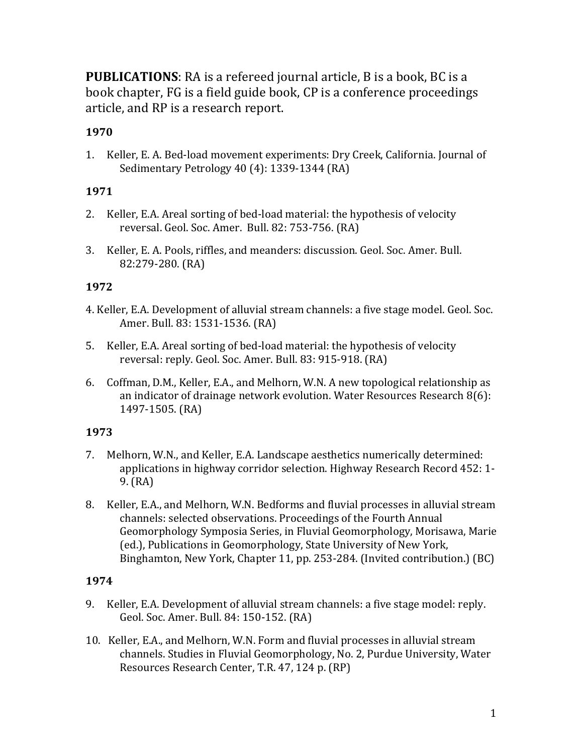**PUBLICATIONS**: RA is a refereed journal article, B is a book, BC is a book chapter, FG is a field guide book, CP is a conference proceedings article, and RP is a research report.

# **1970**

1. Keller, E. A. Bed-load movement experiments: Dry Creek, California. Journal of Sedimentary Petrology 40 (4): 1339-1344 (RA)

# **1971**

- 2. Keller, E.A. Areal sorting of bed-load material: the hypothesis of velocity reversal. Geol. Soc. Amer. Bull. 82: 753-756. (RA)
- 3. Keller, E. A. Pools, riffles, and meanders: discussion. Geol. Soc. Amer. Bull. 82:279-280. (RA)

# **1972**

- 4. Keller, E.A. Development of alluvial stream channels: a five stage model. Geol. Soc. Amer. Bull. 83: 1531-1536. (RA)
- 5. Keller, E.A. Areal sorting of bed-load material: the hypothesis of velocity reversal: reply. Geol. Soc. Amer. Bull. 83: 915-918. (RA)
- 6. Coffman, D.M., Keller, E.A., and Melhorn, W.N. A new topological relationship as an indicator of drainage network evolution. Water Resources Research  $8(6)$ : 1497-1505. (RA)

# **1973**

- 7. Melhorn, W.N., and Keller, E.A. Landscape aesthetics numerically determined: applications in highway corridor selection. Highway Research Record 452: 1- $9. (RA)$
- 8. Keller, E.A., and Melhorn, W.N. Bedforms and fluvial processes in alluvial stream channels: selected observations. Proceedings of the Fourth Annual Geomorphology Symposia Series, in Fluvial Geomorphology, Morisawa, Marie (ed.), Publications in Geomorphology, State University of New York, Binghamton, New York, Chapter 11, pp. 253-284. (Invited contribution.) (BC)

- 9. Keller, E.A. Development of alluvial stream channels: a five stage model: reply. Geol. Soc. Amer. Bull. 84: 150-152. (RA)
- 10. Keller, E.A., and Melhorn, W.N. Form and fluvial processes in alluvial stream channels. Studies in Fluvial Geomorphology, No. 2, Purdue University, Water Resources Research Center, T.R. 47, 124 p. (RP)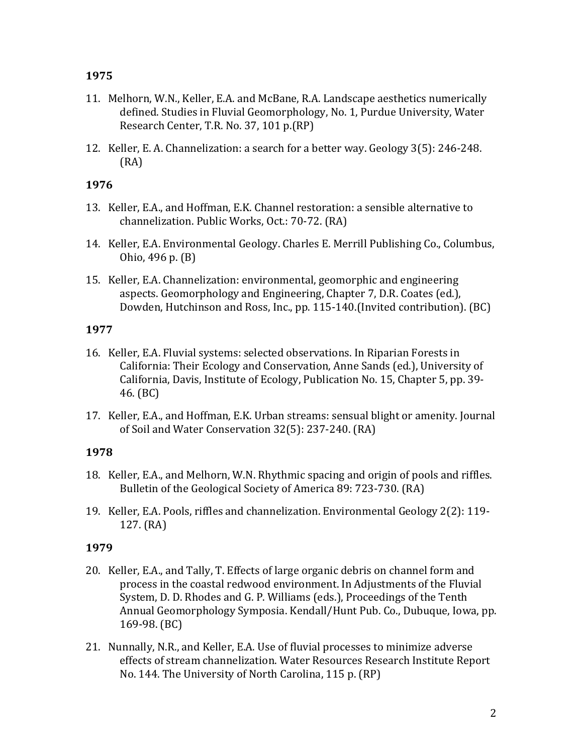- 11. Melhorn, W.N., Keller, E.A. and McBane, R.A. Landscape aesthetics numerically defined. Studies in Fluvial Geomorphology, No. 1, Purdue University, Water Research Center, T.R. No. 37, 101 p.(RP)
- 12. Keller, E. A. Channelization: a search for a better way. Geology 3(5): 246-248. (RA)

### **1976**

- 13. Keller, E.A., and Hoffman, E.K. Channel restoration: a sensible alternative to channelization. Public Works, Oct.: 70-72. (RA)
- 14. Keller, E.A. Environmental Geology. Charles E. Merrill Publishing Co., Columbus, Ohio, 496 p. (B)
- 15. Keller, E.A. Channelization: environmental, geomorphic and engineering aspects. Geomorphology and Engineering, Chapter 7, D.R. Coates (ed.), Dowden, Hutchinson and Ross, Inc., pp. 115-140. (Invited contribution). (BC)

# **1977**

- 16. Keller, E.A. Fluvial systems: selected observations. In Riparian Forests in California: Their Ecology and Conservation, Anne Sands (ed.), University of California, Davis, Institute of Ecology, Publication No. 15, Chapter 5, pp. 39-46. (BC)
- 17. Keller, E.A., and Hoffman, E.K. Urban streams: sensual blight or amenity. Journal of Soil and Water Conservation 32(5): 237-240. (RA)

# **1978**

- 18. Keller, E.A., and Melhorn, W.N. Rhythmic spacing and origin of pools and riffles. Bulletin of the Geological Society of America 89: 723-730. (RA)
- 19. Keller, E.A. Pools, riffles and channelization. Environmental Geology 2(2): 119- $127. (RA)$

- 20. Keller, E.A., and Tally, T. Effects of large organic debris on channel form and process in the coastal redwood environment. In Adjustments of the Fluvial System, D. D. Rhodes and G. P. Williams (eds.), Proceedings of the Tenth Annual Geomorphology Symposia. Kendall/Hunt Pub. Co., Dubuque, Iowa, pp. 169-98. (BC)
- 21. Nunnally, N.R., and Keller, E.A. Use of fluvial processes to minimize adverse effects of stream channelization. Water Resources Research Institute Report No. 144. The University of North Carolina, 115 p. (RP)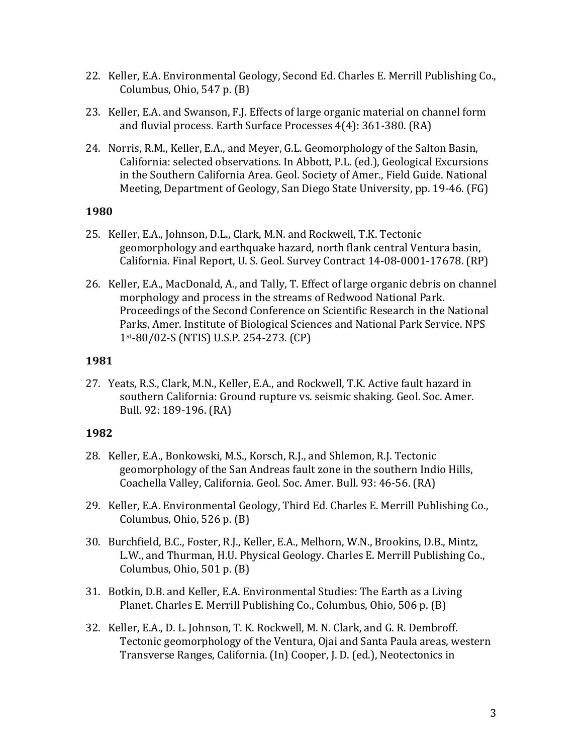- 22. Keller, E.A. Environmental Geology, Second Ed. Charles E. Merrill Publishing Co., Columbus, Ohio,  $547$  p.  $(B)$
- 23. Keller, E.A. and Swanson, F.J. Effects of large organic material on channel form and fluvial process. Earth Surface Processes  $4(4)$ : 361-380. (RA)
- 24. Norris, R.M., Keller, E.A., and Meyer, G.L. Geomorphology of the Salton Basin, California: selected observations. In Abbott, P.L. (ed.), Geological Excursions in the Southern California Area. Geol. Society of Amer., Field Guide. National Meeting, Department of Geology, San Diego State University, pp. 19-46. (FG)

- 25. Keller, E.A., Johnson, D.L., Clark, M.N. and Rockwell, T.K. Tectonic geomorphology and earthquake hazard, north flank central Ventura basin, California. Final Report, U. S. Geol. Survey Contract 14-08-0001-17678. (RP)
- 26. Keller, E.A., MacDonald, A., and Tally, T. Effect of large organic debris on channel morphology and process in the streams of Redwood National Park. Proceedings of the Second Conference on Scientific Research in the National Parks, Amer. Institute of Biological Sciences and National Park Service. NPS 1st-80/02-S (NTIS) U.S.P. 254-273. (CP)

### **1981**

27. Yeats, R.S., Clark, M.N., Keller, E.A., and Rockwell, T.K. Active fault hazard in southern California: Ground rupture vs. seismic shaking. Geol. Soc. Amer. Bull. 92: 189-196. (RA)

- 28. Keller, E.A., Bonkowski, M.S., Korsch, R.J., and Shlemon, R.J. Tectonic geomorphology of the San Andreas fault zone in the southern Indio Hills, Coachella Valley, California. Geol. Soc. Amer. Bull. 93: 46-56. (RA)
- 29. Keller, E.A. Environmental Geology, Third Ed. Charles E. Merrill Publishing Co., Columbus, Ohio,  $526$  p.  $(B)$
- 30. Burchfield, B.C., Foster, R.J., Keller, E.A., Melhorn, W.N., Brookins, D.B., Mintz, L.W., and Thurman, H.U. Physical Geology. Charles E. Merrill Publishing Co., Columbus, Ohio,  $501$  p.  $(B)$
- 31. Botkin, D.B. and Keller, E.A. Environmental Studies: The Earth as a Living Planet. Charles E. Merrill Publishing Co., Columbus, Ohio, 506 p. (B)
- 32. Keller, E.A., D. L. Johnson, T. K. Rockwell, M. N. Clark, and G. R. Dembroff. Tectonic geomorphology of the Ventura, Ojai and Santa Paula areas, western Transverse Ranges, California. (In) Cooper, J. D. (ed.), Neotectonics in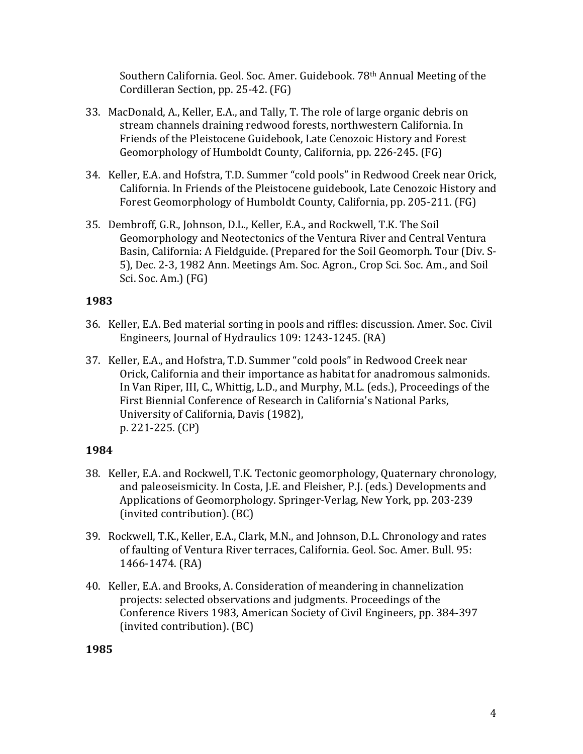Southern California. Geol. Soc. Amer. Guidebook. 78<sup>th</sup> Annual Meeting of the Cordilleran Section, pp. 25-42. (FG)

- 33. MacDonald, A., Keller, E.A., and Tally, T. The role of large organic debris on stream channels draining redwood forests, northwestern California. In Friends of the Pleistocene Guidebook, Late Cenozoic History and Forest Geomorphology of Humboldt County, California, pp. 226-245. (FG)
- 34. Keller, E.A. and Hofstra, T.D. Summer "cold pools" in Redwood Creek near Orick, California. In Friends of the Pleistocene guidebook, Late Cenozoic History and Forest Geomorphology of Humboldt County, California, pp. 205-211. (FG)
- 35. Dembroff, G.R., Johnson, D.L., Keller, E.A., and Rockwell, T.K. The Soil Geomorphology and Neotectonics of the Ventura River and Central Ventura Basin, California: A Fieldguide. (Prepared for the Soil Geomorph. Tour (Div. S-5), Dec. 2-3, 1982 Ann. Meetings Am. Soc. Agron., Crop Sci. Soc. Am., and Soil Sci. Soc. Am.) (FG)

# **1983**

- 36. Keller, E.A. Bed material sorting in pools and riffles: discussion. Amer. Soc. Civil Engineers, Journal of Hydraulics 109: 1243-1245. (RA)
- 37. Keller, E.A., and Hofstra, T.D. Summer "cold pools" in Redwood Creek near Orick, California and their importance as habitat for anadromous salmonids. In Van Riper, III, C., Whittig, L.D., and Murphy, M.L. (eds.), Proceedings of the First Biennial Conference of Research in California's National Parks, University of California, Davis (1982), p. 221-225. (CP)

### **1984**

- 38. Keller, E.A. and Rockwell, T.K. Tectonic geomorphology, Quaternary chronology, and paleoseismicity. In Costa, J.E. and Fleisher, P.J. (eds.) Developments and Applications of Geomorphology. Springer-Verlag, New York, pp. 203-239 (invited contribution). (BC)
- 39. Rockwell, T.K., Keller, E.A., Clark, M.N., and Johnson, D.L. Chronology and rates of faulting of Ventura River terraces, California. Geol. Soc. Amer. Bull. 95: 1466-1474. (RA)
- 40. Keller, E.A. and Brooks, A. Consideration of meandering in channelization projects: selected observations and judgments. Proceedings of the Conference Rivers 1983, American Society of Civil Engineers, pp. 384-397 (invited contribution). (BC)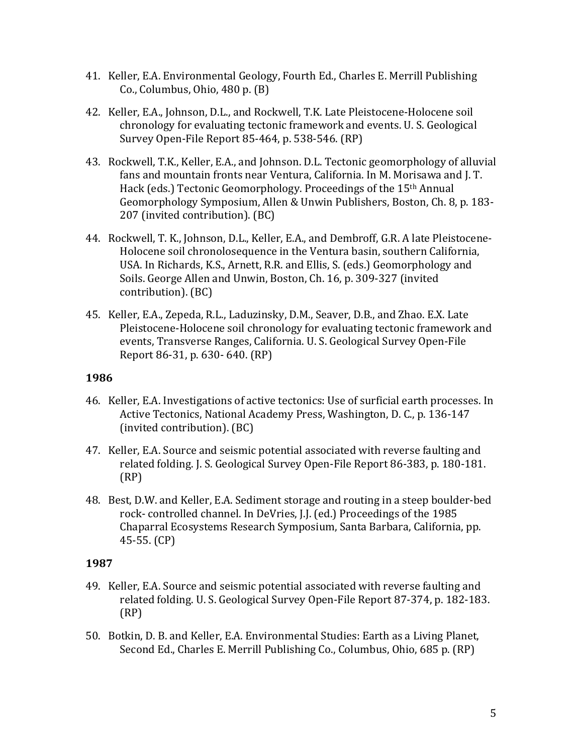- 41. Keller, E.A. Environmental Geology, Fourth Ed., Charles E. Merrill Publishing Co., Columbus, Ohio,  $480$  p.  $(B)$
- 42. Keller, E.A., Johnson, D.L., and Rockwell, T.K. Late Pleistocene-Holocene soil chronology for evaluating tectonic framework and events. U. S. Geological Survey Open-File Report 85-464, p. 538-546. (RP)
- 43. Rockwell, T.K., Keller, E.A., and Johnson. D.L. Tectonic geomorphology of alluvial fans and mountain fronts near Ventura, California. In M. Morisawa and J. T. Hack (eds.) Tectonic Geomorphology. Proceedings of the 15<sup>th</sup> Annual Geomorphology Symposium, Allen & Unwin Publishers, Boston, Ch. 8, p. 183-207 (invited contribution). (BC)
- 44. Rockwell, T. K., Johnson, D.L., Keller, E.A., and Dembroff, G.R. A late Pleistocene-Holocene soil chronolosequence in the Ventura basin, southern California, USA. In Richards, K.S., Arnett, R.R. and Ellis, S. (eds.) Geomorphology and Soils. George Allen and Unwin, Boston, Ch. 16, p. 309-327 (invited contribution). (BC)
- 45. Keller, E.A., Zepeda, R.L., Laduzinsky, D.M., Seaver, D.B., and Zhao. E.X. Late Pleistocene-Holocene soil chronology for evaluating tectonic framework and events, Transverse Ranges, California. U. S. Geological Survey Open-File Report 86-31, p. 630- 640. (RP)

- 46. Keller, E.A. Investigations of active tectonics: Use of surficial earth processes. In Active Tectonics, National Academy Press, Washington, D. C., p. 136-147 (invited contribution). (BC)
- 47. Keller, E.A. Source and seismic potential associated with reverse faulting and related folding. J. S. Geological Survey Open-File Report 86-383, p. 180-181. (RP)
- 48. Best, D.W. and Keller, E.A. Sediment storage and routing in a steep boulder-bed rock- controlled channel. In DeVries, J.J. (ed.) Proceedings of the 1985 Chaparral Ecosystems Research Symposium, Santa Barbara, California, pp.  $45-55.$  (CP)

- 49. Keller, E.A. Source and seismic potential associated with reverse faulting and related folding. U. S. Geological Survey Open-File Report 87-374, p. 182-183. (RP)
- 50. Botkin, D. B. and Keller, E.A. Environmental Studies: Earth as a Living Planet, Second Ed., Charles E. Merrill Publishing Co., Columbus, Ohio, 685 p. (RP)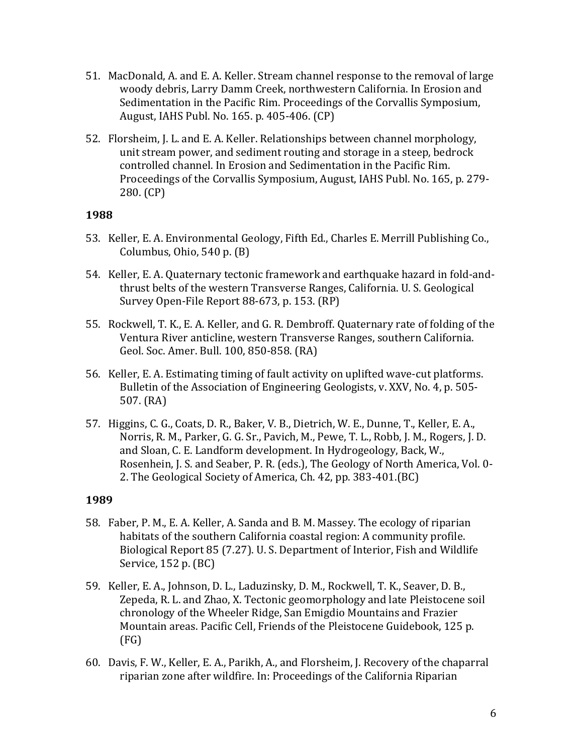- 51. MacDonald, A. and E. A. Keller. Stream channel response to the removal of large woody debris, Larry Damm Creek, northwestern California. In Erosion and Sedimentation in the Pacific Rim. Proceedings of the Corvallis Symposium, August, IAHS Publ. No. 165. p. 405-406. (CP)
- 52. Florsheim, J. L. and E. A. Keller. Relationships between channel morphology, unit stream power, and sediment routing and storage in a steep, bedrock controlled channel. In Erosion and Sedimentation in the Pacific Rim. Proceedings of the Corvallis Symposium, August, IAHS Publ. No. 165, p. 279-280. (CP)

- 53. Keller, E. A. Environmental Geology, Fifth Ed., Charles E. Merrill Publishing Co., Columbus, Ohio,  $540$  p.  $(B)$
- 54. Keller, E. A. Quaternary tectonic framework and earthquake hazard in fold-andthrust belts of the western Transverse Ranges, California. U. S. Geological Survey Open-File Report 88-673, p. 153. (RP)
- 55. Rockwell, T. K., E. A. Keller, and G. R. Dembroff. Quaternary rate of folding of the Ventura River anticline, western Transverse Ranges, southern California. Geol. Soc. Amer. Bull. 100, 850-858. (RA)
- 56. Keller, E. A. Estimating timing of fault activity on uplifted wave-cut platforms. Bulletin of the Association of Engineering Geologists, v. XXV, No. 4, p. 505-507. (RA)
- 57. Higgins, C. G., Coats, D. R., Baker, V. B., Dietrich, W. E., Dunne, T., Keller, E. A., Norris, R. M., Parker, G. G. Sr., Pavich, M., Pewe, T. L., Robb, J. M., Rogers, J. D. and Sloan, C. E. Landform development. In Hydrogeology, Back, W., Rosenhein, J. S. and Seaber, P. R. (eds.), The Geology of North America, Vol. 0-2. The Geological Society of America, Ch. 42, pp. 383-401.(BC)

- 58. Faber, P. M., E. A. Keller, A. Sanda and B. M. Massey. The ecology of riparian habitats of the southern California coastal region: A community profile. Biological Report 85 (7.27). U.S. Department of Interior, Fish and Wildlife Service,  $152$  p.  $(BC)$
- 59. Keller, E. A., Johnson, D. L., Laduzinsky, D. M., Rockwell, T. K., Seaver, D. B., Zepeda, R. L. and Zhao, X. Tectonic geomorphology and late Pleistocene soil chronology of the Wheeler Ridge, San Emigdio Mountains and Frazier Mountain areas. Pacific Cell, Friends of the Pleistocene Guidebook, 125 p. (FG)
- 60. Davis, F. W., Keller, E. A., Parikh, A., and Florsheim, J. Recovery of the chaparral riparian zone after wildfire. In: Proceedings of the California Riparian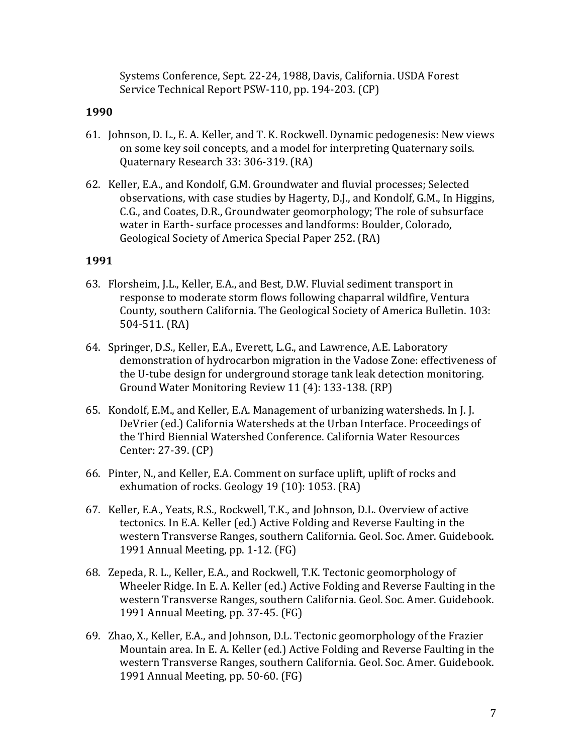Systems Conference, Sept. 22-24, 1988, Davis, California. USDA Forest Service Technical Report PSW-110, pp. 194-203. (CP)

#### **1990**

- 61. Johnson, D. L., E. A. Keller, and T. K. Rockwell. Dynamic pedogenesis: New views on some key soil concepts, and a model for interpreting Quaternary soils. Quaternary Research 33: 306-319. (RA)
- 62. Keller, E.A., and Kondolf, G.M. Groundwater and fluvial processes; Selected observations, with case studies by Hagerty, D.J., and Kondolf, G.M., In Higgins, C.G., and Coates, D.R., Groundwater geomorphology; The role of subsurface water in Earth- surface processes and landforms: Boulder, Colorado, Geological Society of America Special Paper 252. (RA)

- 63. Florsheim, J.L., Keller, E.A., and Best, D.W. Fluvial sediment transport in response to moderate storm flows following chaparral wildfire, Ventura County, southern California. The Geological Society of America Bulletin. 103: 504-511. (RA)
- 64. Springer, D.S., Keller, E.A., Everett, L.G., and Lawrence, A.E. Laboratory demonstration of hydrocarbon migration in the Vadose Zone: effectiveness of the U-tube design for underground storage tank leak detection monitoring. Ground Water Monitoring Review 11 (4): 133-138. (RP)
- 65. Kondolf, E.M., and Keller, E.A. Management of urbanizing watersheds. In [.]. DeVrier (ed.) California Watersheds at the Urban Interface. Proceedings of the Third Biennial Watershed Conference. California Water Resources Center: 27-39. (CP)
- 66. Pinter, N., and Keller, E.A. Comment on surface uplift, uplift of rocks and exhumation of rocks. Geology 19 (10): 1053. (RA)
- 67. Keller, E.A., Yeats, R.S., Rockwell, T.K., and Johnson, D.L. Overview of active tectonics. In E.A. Keller (ed.) Active Folding and Reverse Faulting in the western Transverse Ranges, southern California. Geol. Soc. Amer. Guidebook. 1991 Annual Meeting, pp. 1-12. (FG)
- 68. Zepeda, R. L., Keller, E.A., and Rockwell, T.K. Tectonic geomorphology of Wheeler Ridge. In E. A. Keller (ed.) Active Folding and Reverse Faulting in the western Transverse Ranges, southern California. Geol. Soc. Amer. Guidebook. 1991 Annual Meeting, pp. 37-45. (FG)
- 69. Zhao, X., Keller, E.A., and Johnson, D.L. Tectonic geomorphology of the Frazier Mountain area. In E. A. Keller (ed.) Active Folding and Reverse Faulting in the western Transverse Ranges, southern California. Geol. Soc. Amer. Guidebook. 1991 Annual Meeting, pp. 50-60. (FG)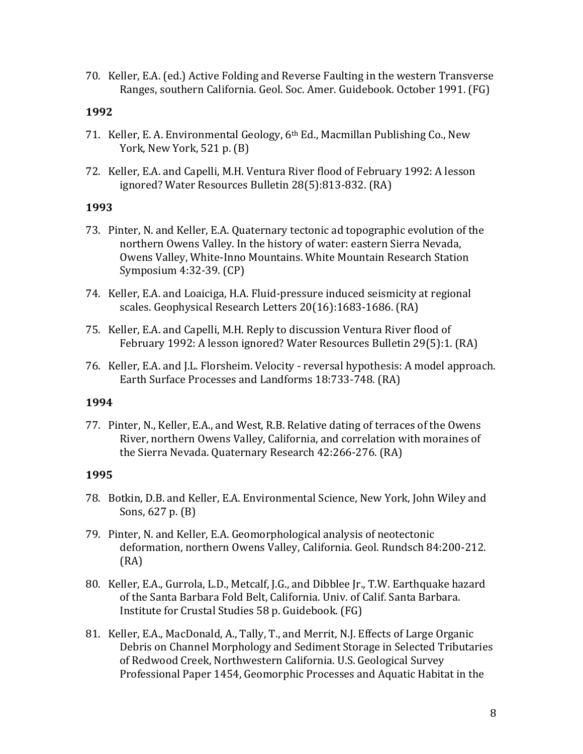70. Keller, E.A. (ed.) Active Folding and Reverse Faulting in the western Transverse Ranges, southern California. Geol. Soc. Amer. Guidebook. October 1991. (FG)

#### **1992**

- 71. Keller, E. A. Environmental Geology, 6<sup>th</sup> Ed., Macmillan Publishing Co., New York, New York,  $521$  p.  $(B)$
- 72. Keller, E.A. and Capelli, M.H. Ventura River flood of February 1992: A lesson ignored? Water Resources Bulletin 28(5):813-832. (RA)

#### **1993**

- 73. Pinter, N. and Keller, E.A. Quaternary tectonic ad topographic evolution of the northern Owens Valley. In the history of water: eastern Sierra Nevada, Owens Valley, White-Inno Mountains. White Mountain Research Station Symposium 4:32-39. (CP)
- 74. Keller, E.A. and Loaiciga, H.A. Fluid-pressure induced seismicity at regional scales. Geophysical Research Letters 20(16):1683-1686. (RA)
- 75. Keller, E.A. and Capelli, M.H. Reply to discussion Ventura River flood of February 1992: A lesson ignored? Water Resources Bulletin 29(5):1. (RA)
- 76. Keller, E.A. and J.L. Florsheim. Velocity reversal hypothesis: A model approach. Earth Surface Processes and Landforms 18:733-748. (RA)

#### **1994**

77. Pinter, N., Keller, E.A., and West, R.B. Relative dating of terraces of the Owens River, northern Owens Valley, California, and correlation with moraines of the Sierra Nevada. Quaternary Research 42:266-276. (RA)

- 78. Botkin, D.B. and Keller, E.A. Environmental Science, New York, John Wiley and Sons,  $627$  p.  $(B)$
- 79. Pinter, N. and Keller, E.A. Geomorphological analysis of neotectonic deformation, northern Owens Valley, California. Geol. Rundsch 84:200-212. (RA)
- 80. Keller, E.A., Gurrola, L.D., Metcalf, J.G., and Dibblee Jr., T.W. Earthquake hazard of the Santa Barbara Fold Belt, California. Univ. of Calif. Santa Barbara. Institute for Crustal Studies 58 p. Guidebook. (FG)
- 81. Keller, E.A., MacDonald, A., Tally, T., and Merrit, N.J. Effects of Large Organic Debris on Channel Morphology and Sediment Storage in Selected Tributaries of Redwood Creek, Northwestern California. U.S. Geological Survey Professional Paper 1454, Geomorphic Processes and Aquatic Habitat in the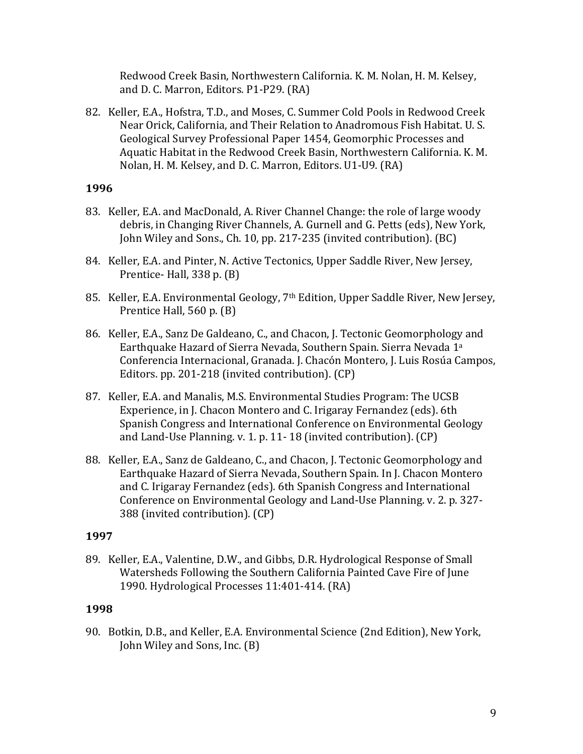Redwood Creek Basin, Northwestern California. K. M. Nolan, H. M. Kelsey, and D. C. Marron, Editors. P1-P29. (RA)

82. Keller, E.A., Hofstra, T.D., and Moses, C. Summer Cold Pools in Redwood Creek Near Orick, California, and Their Relation to Anadromous Fish Habitat. U.S. Geological Survey Professional Paper 1454, Geomorphic Processes and Aquatic Habitat in the Redwood Creek Basin, Northwestern California. K. M. Nolan, H. M. Kelsey, and D. C. Marron, Editors. U1-U9. (RA)

### **1996**

- 83. Keller, E.A. and MacDonald, A. River Channel Change: the role of large woody debris, in Changing River Channels, A. Gurnell and G. Petts (eds), New York, John Wiley and Sons., Ch. 10, pp. 217-235 (invited contribution). (BC)
- 84. Keller, E.A. and Pinter, N. Active Tectonics, Upper Saddle River, New Jersey, Prentice- Hall,  $338$  p.  $(B)$
- 85. Keller, E.A. Environmental Geology, 7<sup>th</sup> Edition, Upper Saddle River, New Jersey, Prentice Hall,  $560$  p.  $(B)$
- 86. Keller, E.A., Sanz De Galdeano, C., and Chacon, J. Tectonic Geomorphology and Earthquake Hazard of Sierra Nevada, Southern Spain. Sierra Nevada 1<sup>a</sup> Conferencia Internacional, Granada. J. Chacón Montero, J. Luis Rosúa Campos, Editors. pp. 201-218 (invited contribution). (CP)
- 87. Keller, E.A. and Manalis, M.S. Environmental Studies Program: The UCSB Experience, in J. Chacon Montero and C. Irigaray Fernandez (eds). 6th Spanish Congress and International Conference on Environmental Geology and Land-Use Planning. v. 1. p. 11-18 (invited contribution).  $(CP)$
- 88. Keller, E.A., Sanz de Galdeano, C., and Chacon, J. Tectonic Geomorphology and Earthquake Hazard of Sierra Nevada, Southern Spain. In J. Chacon Montero and C. Irigaray Fernandez (eds). 6th Spanish Congress and International Conference on Environmental Geology and Land-Use Planning. v. 2. p. 327-388 (invited contribution). (CP)

### **1997**

89. Keller, E.A., Valentine, D.W., and Gibbs, D.R. Hydrological Response of Small Watersheds Following the Southern California Painted Cave Fire of June 1990. Hydrological Processes 11:401-414. (RA)

### **1998**

90. Botkin, D.B., and Keller, E.A. Environmental Science (2nd Edition), New York, John Wiley and Sons, Inc. (B)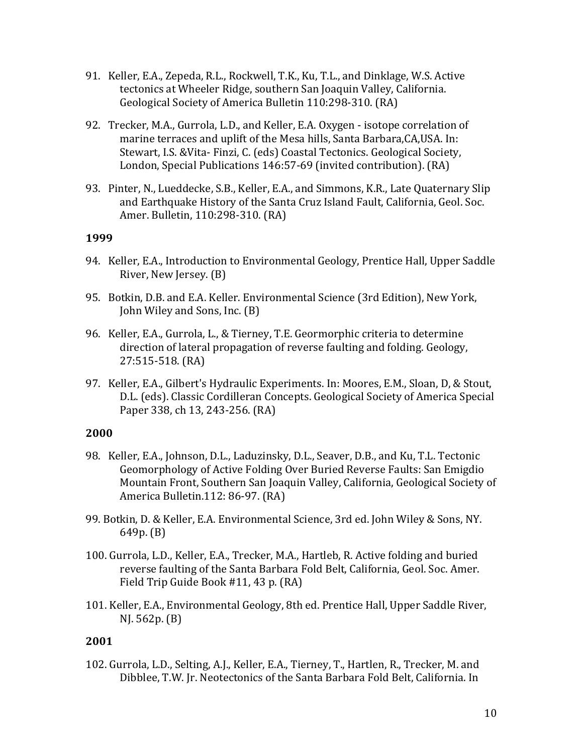- 91. Keller, E.A., Zepeda, R.L., Rockwell, T.K., Ku, T.L., and Dinklage, W.S. Active tectonics at Wheeler Ridge, southern San Joaquin Valley, California. Geological Society of America Bulletin 110:298-310. (RA)
- 92. Trecker, M.A., Gurrola, L.D., and Keller, E.A. Oxygen isotope correlation of marine terraces and uplift of the Mesa hills, Santa Barbara, CA, USA. In: Stewart, I.S. & Vita- Finzi, C. (eds) Coastal Tectonics. Geological Society, London, Special Publications 146:57-69 (invited contribution). (RA)
- 93. Pinter, N., Lueddecke, S.B., Keller, E.A., and Simmons, K.R., Late Quaternary Slip and Earthquake History of the Santa Cruz Island Fault, California, Geol. Soc. Amer. Bulletin, 110:298-310. (RA)

- 94. Keller, E.A., Introduction to Environmental Geology, Prentice Hall, Upper Saddle River, New Jersey. (B)
- 95. Botkin, D.B. and E.A. Keller. Environmental Science (3rd Edition), New York, John Wiley and Sons, Inc. (B)
- 96. Keller, E.A., Gurrola, L., & Tierney, T.E. Geormorphic criteria to determine direction of lateral propagation of reverse faulting and folding. Geology, 27:515-518. (RA)
- 97. Keller, E.A., Gilbert's Hydraulic Experiments. In: Moores, E.M., Sloan, D, & Stout, D.L. (eds). Classic Cordilleran Concepts. Geological Society of America Special Paper 338, ch 13, 243-256. (RA)

### **2000**

- 98. Keller, E.A., Johnson, D.L., Laduzinsky, D.L., Seaver, D.B., and Ku, T.L. Tectonic Geomorphology of Active Folding Over Buried Reverse Faults: San Emigdio Mountain Front, Southern San Joaquin Valley, California, Geological Society of America Bulletin.112: 86-97. (RA)
- 99. Botkin, D. & Keller, E.A. Environmental Science, 3rd ed. John Wiley & Sons, NY.  $649p. (B)$
- 100. Gurrola, L.D., Keller, E.A., Trecker, M.A., Hartleb, R. Active folding and buried reverse faulting of the Santa Barbara Fold Belt, California, Geol. Soc. Amer. Field Trip Guide Book #11, 43 p. (RA)
- 101. Keller, E.A., Environmental Geology, 8th ed. Prentice Hall, Upper Saddle River,  $NJ. 562p. (B)$

### **2001**

102. Gurrola, L.D., Selting, A.J., Keller, E.A., Tierney, T., Hartlen, R., Trecker, M. and Dibblee, T.W. Jr. Neotectonics of the Santa Barbara Fold Belt, California. In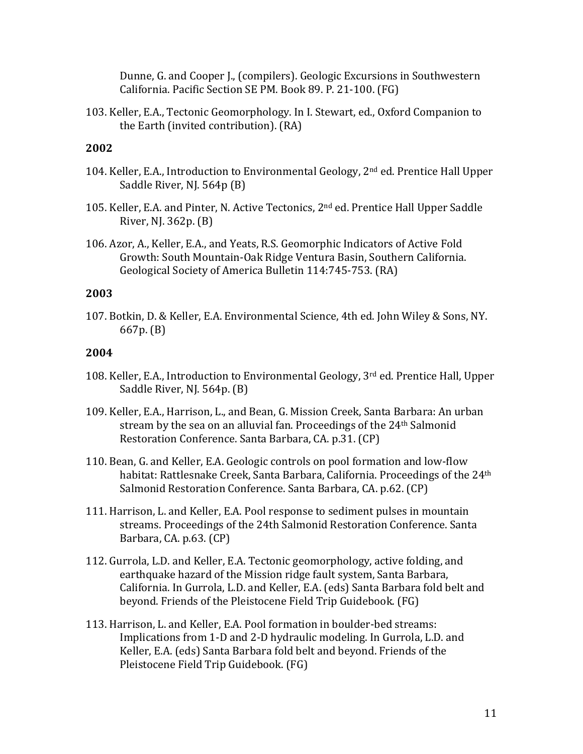Dunne, G. and Cooper J., (compilers). Geologic Excursions in Southwestern California. Pacific Section SE PM. Book 89. P. 21-100. (FG)

103. Keller, E.A., Tectonic Geomorphology. In I. Stewart, ed., Oxford Companion to the Earth (invited contribution). (RA)

# **2002**

- 104. Keller, E.A., Introduction to Environmental Geology, 2<sup>nd</sup> ed. Prentice Hall Upper Saddle River, NJ. 564p (B)
- 105. Keller, E.A. and Pinter, N. Active Tectonics, 2<sup>nd</sup> ed. Prentice Hall Upper Saddle River, NJ.  $362p.$  (B)
- 106. Azor, A., Keller, E.A., and Yeats, R.S. Geomorphic Indicators of Active Fold Growth: South Mountain-Oak Ridge Ventura Basin, Southern California. Geological Society of America Bulletin 114:745-753. (RA)

### **2003**

107. Botkin, D. & Keller, E.A. Environmental Science, 4th ed. John Wiley & Sons, NY. 667p. (B)

- 108. Keller, E.A., Introduction to Environmental Geology, 3<sup>rd</sup> ed. Prentice Hall, Upper Saddle River, NJ. 564p. (B)
- 109. Keller, E.A., Harrison, L., and Bean, G. Mission Creek, Santa Barbara: An urban stream by the sea on an alluvial fan. Proceedings of the 24<sup>th</sup> Salmonid Restoration Conference. Santa Barbara, CA. p.31. (CP)
- 110. Bean, G. and Keller, E.A. Geologic controls on pool formation and low-flow habitat: Rattlesnake Creek, Santa Barbara, California. Proceedings of the 24<sup>th</sup> Salmonid Restoration Conference. Santa Barbara, CA. p.62. (CP)
- 111. Harrison, L. and Keller, E.A. Pool response to sediment pulses in mountain streams. Proceedings of the 24th Salmonid Restoration Conference. Santa Barbara, CA. p.63. (CP)
- 112. Gurrola, L.D. and Keller, E.A. Tectonic geomorphology, active folding, and earthquake hazard of the Mission ridge fault system, Santa Barbara, California. In Gurrola, L.D. and Keller, E.A. (eds) Santa Barbara fold belt and beyond. Friends of the Pleistocene Field Trip Guidebook. (FG)
- 113. Harrison, L. and Keller, E.A. Pool formation in boulder-bed streams: Implications from 1-D and 2-D hydraulic modeling. In Gurrola, L.D. and Keller, E.A. (eds) Santa Barbara fold belt and beyond. Friends of the Pleistocene Field Trip Guidebook. (FG)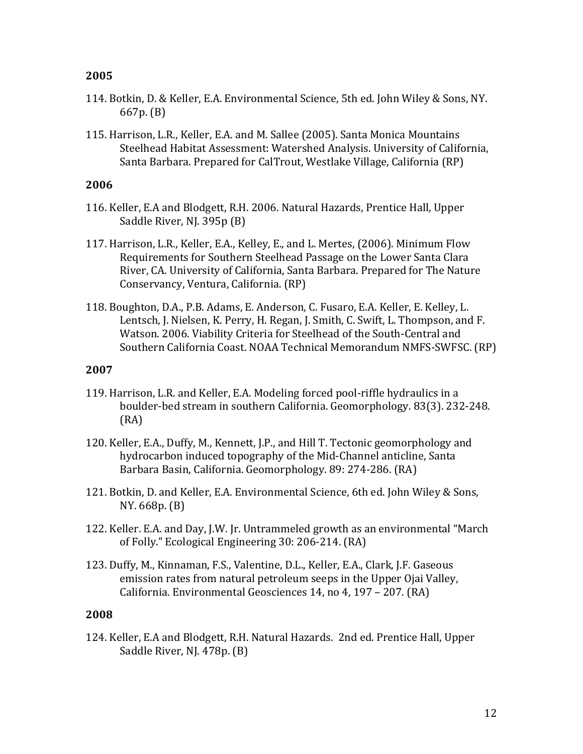- 114. Botkin, D. & Keller, E.A. Environmental Science, 5th ed. John Wiley & Sons, NY.  $667p.$  (B)
- 115. Harrison, L.R., Keller, E.A. and M. Sallee (2005). Santa Monica Mountains Steelhead Habitat Assessment: Watershed Analysis. University of California, Santa Barbara. Prepared for CalTrout, Westlake Village, California (RP)

### **2006**

- 116. Keller, E.A and Blodgett, R.H. 2006. Natural Hazards, Prentice Hall, Upper Saddle River, NJ. 395p (B)
- 117. Harrison, L.R., Keller, E.A., Kelley, E., and L. Mertes, (2006). Minimum Flow Requirements for Southern Steelhead Passage on the Lower Santa Clara River, CA. University of California, Santa Barbara. Prepared for The Nature Conservancy, Ventura, California. (RP)
- 118. Boughton, D.A., P.B. Adams, E. Anderson, C. Fusaro, E.A. Keller, E. Kelley, L. Lentsch, J. Nielsen, K. Perry, H. Regan, J. Smith, C. Swift, L. Thompson, and F. Watson. 2006. Viability Criteria for Steelhead of the South-Central and Southern California Coast. NOAA Technical Memorandum NMFS-SWFSC. (RP)

### **2007**

- 119. Harrison, L.R. and Keller, E.A. Modeling forced pool-riffle hydraulics in a boulder-bed stream in southern California. Geomorphology. 83(3). 232-248. (RA)
- 120. Keller, E.A., Duffy, M., Kennett, J.P., and Hill T. Tectonic geomorphology and hydrocarbon induced topography of the Mid-Channel anticline, Santa Barbara Basin, California. Geomorphology. 89: 274-286. (RA)
- 121. Botkin, D. and Keller, E.A. Environmental Science, 6th ed. John Wiley & Sons, NY. 668p. (B)
- 122. Keller. E.A. and Day, J.W. Jr. Untrammeled growth as an environmental "March of Folly." Ecological Engineering 30: 206-214. (RA)
- 123. Duffy, M., Kinnaman, F.S., Valentine, D.L., Keller, E.A., Clark, J.F. Gaseous emission rates from natural petroleum seeps in the Upper Ojai Valley, California. Environmental Geosciences 14, no 4, 197 - 207. (RA)

### **2008**

124. Keller, E.A and Blodgett, R.H. Natural Hazards. 2nd ed. Prentice Hall, Upper Saddle River, NJ. 478p. (B)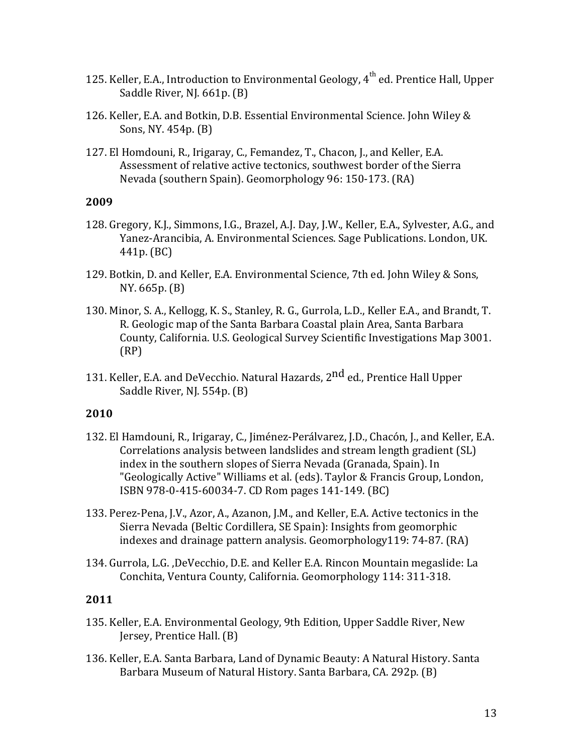- 125. Keller, E.A., Introduction to Environmental Geology,  $4^{\text{th}}$  ed. Prentice Hall, Upper Saddle River, NJ. 661p. (B)
- 126. Keller, E.A. and Botkin, D.B. Essential Environmental Science. John Wiley & Sons, NY.  $454p.$  (B)
- 127. El Homdouni, R., Irigaray, C., Femandez, T., Chacon, J., and Keller, E.A. Assessment of relative active tectonics, southwest border of the Sierra Nevada (southern Spain). Geomorphology 96: 150-173. (RA)

- 128. Gregory, K.J., Simmons, I.G., Brazel, A.J. Day, J.W., Keller, E.A., Sylvester, A.G., and Yanez-Arancibia, A. Environmental Sciences. Sage Publications. London, UK.  $441p. (BC)$
- 129. Botkin, D. and Keller, E.A. Environmental Science, 7th ed. John Wiley & Sons,  $NY. 665p. (B)$
- 130. Minor, S. A., Kellogg, K. S., Stanley, R. G., Gurrola, L.D., Keller E.A., and Brandt, T. R. Geologic map of the Santa Barbara Coastal plain Area, Santa Barbara County, California. U.S. Geological Survey Scientific Investigations Map 3001. (RP)
- 131. Keller, E.A. and DeVecchio. Natural Hazards, 2<sup>nd</sup> ed., Prentice Hall Upper Saddle River, NJ.  $554p.$  (B)

#### **2010**

- 132. El Hamdouni, R., Irigaray, C., Jiménez-Perálvarez, J.D., Chacón, J., and Keller, E.A. Correlations analysis between landslides and stream length gradient (SL) index in the southern slopes of Sierra Nevada (Granada, Spain). In "Geologically Active" Williams et al. (eds). Taylor & Francis Group, London, ISBN 978-0-415-60034-7. CD Rom pages 141-149. (BC)
- 133. Perez-Pena, J.V., Azor, A., Azanon, J.M., and Keller, E.A. Active tectonics in the Sierra Nevada (Beltic Cordillera, SE Spain): Insights from geomorphic indexes and drainage pattern analysis. Geomorphology119:  $74-87$ . (RA)
- 134. Gurrola, L.G., DeVecchio, D.E. and Keller E.A. Rincon Mountain megaslide: La Conchita, Ventura County, California. Geomorphology 114: 311-318.

- 135. Keller, E.A. Environmental Geology, 9th Edition, Upper Saddle River, New Jersey, Prentice Hall. (B)
- 136. Keller, E.A. Santa Barbara, Land of Dynamic Beauty: A Natural History. Santa Barbara Museum of Natural History. Santa Barbara, CA. 292p. (B)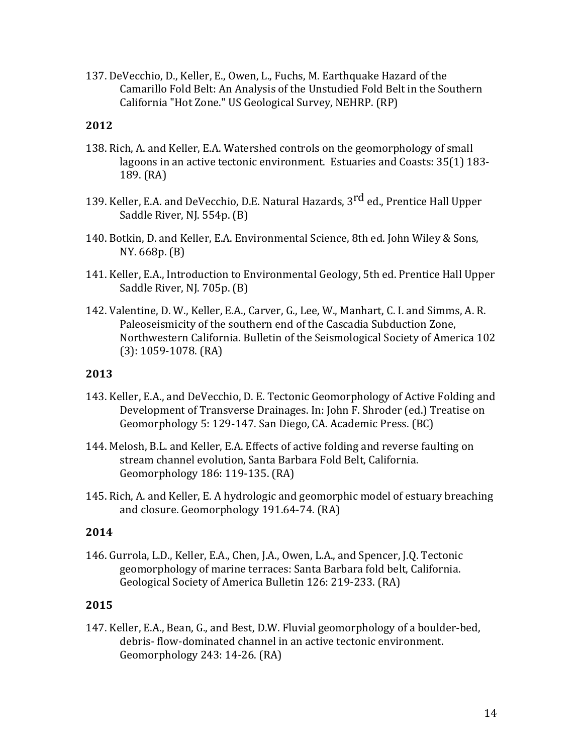137. DeVecchio, D., Keller, E., Owen, L., Fuchs, M. Earthquake Hazard of the Camarillo Fold Belt: An Analysis of the Unstudied Fold Belt in the Southern California "Hot Zone." US Geological Survey, NEHRP. (RP)

### **2012**

- 138. Rich, A. and Keller, E.A. Watershed controls on the geomorphology of small lagoons in an active tectonic environment. Estuaries and Coasts: 35(1) 183-189. (RA)
- 139. Keller, E.A. and DeVecchio, D.E. Natural Hazards, 3<sup>rd</sup> ed., Prentice Hall Upper Saddle River, NJ. 554p. (B)
- 140. Botkin, D. and Keller, E.A. Environmental Science, 8th ed. John Wiley & Sons,  $NY. 668p. (B)$
- 141. Keller, E.A., Introduction to Environmental Geology, 5th ed. Prentice Hall Upper Saddle River, NJ. 705p. (B)
- 142. Valentine, D. W., Keller, E.A., Carver, G., Lee, W., Manhart, C. I. and Simms, A. R. Paleoseismicity of the southern end of the Cascadia Subduction Zone, Northwestern California. Bulletin of the Seismological Society of America 102  $(3): 1059-1078$ .  $(RA)$

#### **2013**

- 143. Keller, E.A., and DeVecchio, D. E. Tectonic Geomorphology of Active Folding and Development of Transverse Drainages. In: John F. Shroder (ed.) Treatise on Geomorphology 5: 129-147. San Diego, CA. Academic Press. (BC)
- 144. Melosh, B.L. and Keller, E.A. Effects of active folding and reverse faulting on stream channel evolution, Santa Barbara Fold Belt, California. Geomorphology 186: 119-135. (RA)
- 145. Rich, A. and Keller, E. A hydrologic and geomorphic model of estuary breaching and closure. Geomorphology 191.64-74. (RA)

### **2014**

146. Gurrola, L.D., Keller, E.A., Chen, J.A., Owen, L.A., and Spencer, J.Q. Tectonic geomorphology of marine terraces: Santa Barbara fold belt, California. Geological Society of America Bulletin 126: 219-233. (RA)

### **2015**

147. Keller, E.A., Bean, G., and Best, D.W. Fluvial geomorphology of a boulder-bed, debris- flow-dominated channel in an active tectonic environment. Geomorphology 243: 14-26. (RA)